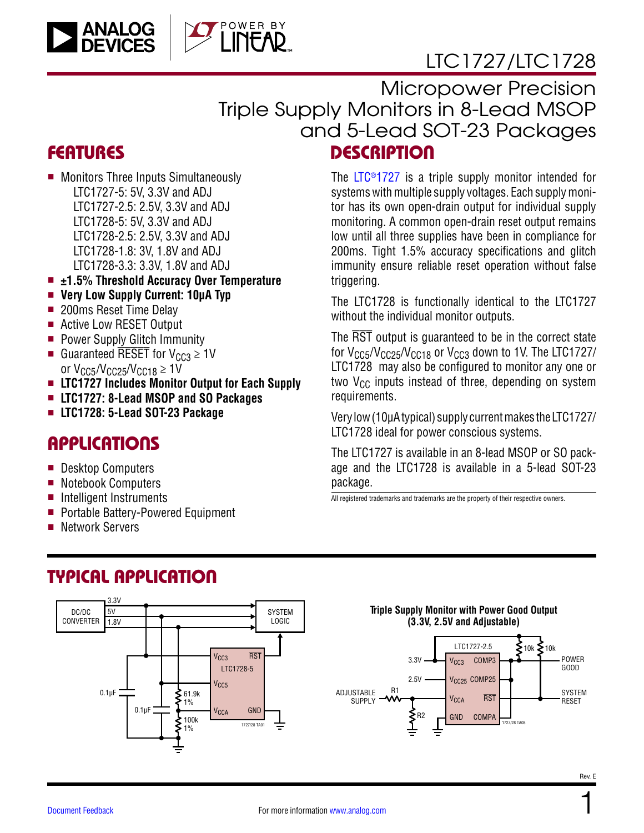

**DESCRIPTION** Micropower Precision Triple Supply Monitors in 8-Lead MSOP and 5-Lead SOT-23 Packages

## **FEATURES**

**ANALOG**<br>DEVICES

- Monitors Three Inputs Simultaneously LTC1727-5: 5V, 3.3V and ADJ LTC1727-2.5: 2.5V, 3.3V and ADJ LTC1728-5: 5V, 3.3V and ADJ LTC1728-2.5: 2.5V, 3.3V and ADJ LTC1728-1.8: 3V, 1.8V and ADJ LTC1728-3.3: 3.3V, 1.8V and ADJ
- ±1.5% Threshold Accuracy Over Temperature

OWER BY

- Very Low Supply Current: 10µA Typ
- 200ms Reset Time Delay
- Active Low RESET Output
- **Power Supply Glitch Immunity**
- Guaranteed RESET for  $V_{CC3} \geq 1$ V or  $V_{CC5}/V_{CC25}/V_{CC18} \geq 1$ V
- <sup>n</sup> **LTC1727 Includes Monitor Output for Each Supply**
- <sup>n</sup> **LTC1727: 8-Lead MSOP and SO Packages**
- <sup>n</sup> **LTC1728: 5-Lead SOT-23 Package**

## **APPLICATIONS**

- Desktop Computers
- Notebook Computers
- **n** Intelligent Instruments
- Portable Battery-Powered Equipment
- Network Servers

The [LTC®1727](https://www.analog.com/LTC1727?doc=LTC1727-1728.pdf) is a triple supply monitor intended for systems with multiple supply voltages. Each supply monitor has its own open-drain output for individual supply monitoring. A common open-drain reset output remains low until all three supplies have been in compliance for 200ms. Tight 1.5% accuracy specifications and glitch immunity ensure reliable reset operation without false triggering.

The LTC1728 is functionally identical to the LTC1727 without the individual monitor outputs.

The RST output is guaranteed to be in the correct state for V<sub>CC5</sub>/V<sub>CC25</sub>/V<sub>CC18</sub> or V<sub>CC3</sub> down to 1V. The LTC1727/ LTC1728 may also be configured to monitor any one or two  $V_{CC}$  inputs instead of three, depending on system requirements.

Very low (10µA typical) supply current makes the LTC1727/ LTC1728 ideal for power conscious systems.

The LTC1727 is available in an 8-lead MSOP or SO package and the LTC1728 is available in a 5-lead SOT-23 package.

All registered trademarks and trademarks are the property of their respective owners.

## TYPICAL APPLICATION

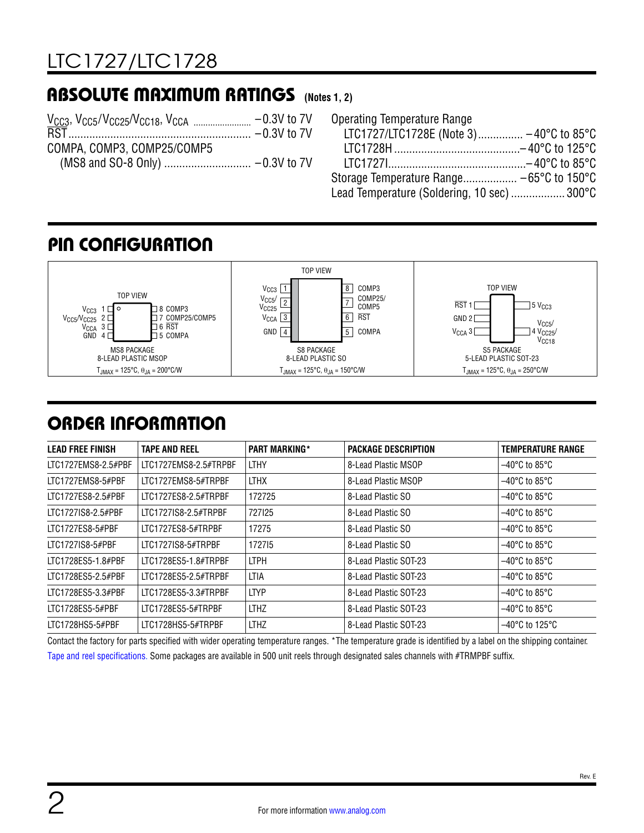## ABSOLUTE MAXIMUM RATINGS **(Notes 1, 2)**

| COMPA, COMP3, COMP25/COMP5 |  |
|----------------------------|--|
|                            |  |
|                            |  |

| Operating Temperature Range                 |  |
|---------------------------------------------|--|
| LTC1727/LTC1728E (Note 3) -40°C to 85°C     |  |
|                                             |  |
|                                             |  |
|                                             |  |
| Lead Temperature (Soldering, 10 sec)  300°C |  |

## PIN CONFIGURATION



## ORDER INFORMATION

| <b>LEAD FREE FINISH</b> | <b>TAPE AND REEL</b>  | <b>PART MARKING*</b> | PACKAGE DESCRIPTION   | <b>TEMPERATURE RANGE</b>            |
|-------------------------|-----------------------|----------------------|-----------------------|-------------------------------------|
| LTC1727EMS8-2.5#PBF     | LTC1727EMS8-2.5#TRPBF | <b>LTHY</b>          | 8-Lead Plastic MSOP   | $-40^{\circ}$ C to 85 $^{\circ}$ C  |
| LTC1727EMS8-5#PBF       | LTC1727EMS8-5#TRPBF   | <b>LTHX</b>          | 8-Lead Plastic MSOP   | $-40^{\circ}$ C to 85 $^{\circ}$ C  |
| LTC1727ES8-2.5#PBF      | LTC1727ES8-2.5#TRPBF  | 172725               | 8-Lead Plastic SO     | $-40^{\circ}$ C to 85 $^{\circ}$ C  |
| LTC1727IS8-2.5#PBF      | LTC1727IS8-2.5#TRPBF  | 727125               | 8-Lead Plastic SO     | $-40^{\circ}$ C to 85 $^{\circ}$ C  |
| LTC1727ES8-5#PBF        | LTC1727ES8-5#TRPBF    | 17275                | 8-Lead Plastic SO     | $-40^{\circ}$ C to 85 $^{\circ}$ C  |
| LTC1727IS8-5#PBF        | LTC1727IS8-5#TRPBF    | 172715               | 8-Lead Plastic SO     | $-40^{\circ}$ C to 85 $^{\circ}$ C  |
| LTC1728ES5-1.8#PBF      | LTC1728ES5-1.8#TRPBF  | <b>LTPH</b>          | 8-Lead Plastic SOT-23 | $-40^{\circ}$ C to 85 $^{\circ}$ C  |
| LTC1728ES5-2.5#PBF      | LTC1728ES5-2.5#TRPBF  | LTIA                 | 8-Lead Plastic SOT-23 | $-40^{\circ}$ C to 85 $^{\circ}$ C  |
| LTC1728ES5-3.3#PBF      | LTC1728ES5-3.3#TRPBF  | <b>LTYP</b>          | 8-Lead Plastic SOT-23 | $-40^{\circ}$ C to 85 $^{\circ}$ C  |
| LTC1728ES5-5#PBF        | LTC1728ES5-5#TRPBF    | <b>LTHZ</b>          | 8-Lead Plastic SOT-23 | $-40^{\circ}$ C to 85 $^{\circ}$ C  |
| LTC1728HS5-5#PBF        | LTC1728HS5-5#TRPBF    | <b>LTHZ</b>          | 8-Lead Plastic SOT-23 | $-40^{\circ}$ C to 125 $^{\circ}$ C |

Contact the factory for parts specified with wider operating temperature ranges. \*The temperature grade is identified by a label on the shipping container. [Tape and reel specifications](https://www.analog.com/media/en/package-pcb-resources/package/tape-reel-rev-n.pdf?doc=LTC1727-1728.pdf). Some packages are available in 500 unit reels through designated sales channels with #TRMPBF suffix.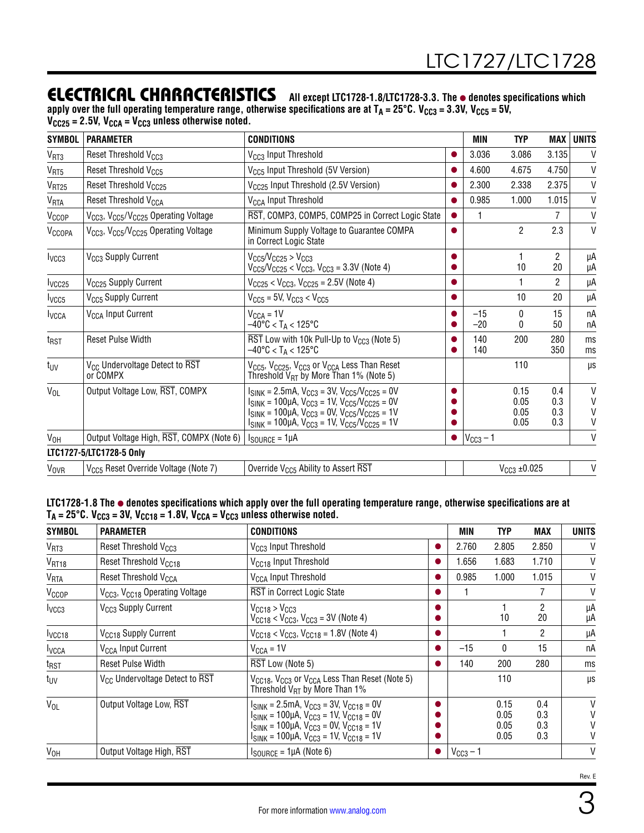## ELECTRICAL CHARACTERISTICS **All except LTC1728-1.8/LTC1728-3.3. The** l **denotes specifications which**

apply over the full operating temperature range, otherwise specifications are at T<sub>A</sub> = 25°C. V<sub>CC3</sub> = 3.3V, V<sub>CC5</sub> = 5V, **VCC25 = 2.5V, VCCA = VCC3 unless otherwise noted.**

| <b>SYMBOL</b>      | <b>PARAMETER</b>                                                         | <b>CONDITIONS</b>                                                                                                                                                                                                                                        |           | MIN            | <b>TYP</b>                   | MAX                      | <b>UNITS</b>                           |
|--------------------|--------------------------------------------------------------------------|----------------------------------------------------------------------------------------------------------------------------------------------------------------------------------------------------------------------------------------------------------|-----------|----------------|------------------------------|--------------------------|----------------------------------------|
| V <sub>RT3</sub>   | Reset Threshold V <sub>CC3</sub>                                         | V <sub>CC3</sub> Input Threshold                                                                                                                                                                                                                         |           | 3.036          | 3.086                        | 3.135                    | V                                      |
| V <sub>RT5</sub>   | Reset Threshold V <sub>CC5</sub>                                         | V <sub>CC5</sub> Input Threshold (5V Version)                                                                                                                                                                                                            |           | 4.600          | 4.675                        | 4.750                    | $\mathsf{V}$                           |
| V <sub>RT25</sub>  | Reset Threshold V <sub>CC25</sub>                                        | V <sub>CC25</sub> Input Threshold (2.5V Version)                                                                                                                                                                                                         |           | 2.300          | 2.338                        | 2.375                    | $\mathsf{V}$                           |
| VRTA               | Reset Threshold V <sub>CCA</sub>                                         | V <sub>CCA</sub> Input Threshold                                                                                                                                                                                                                         |           | 0.985          | 1.000                        | 1.015                    | V                                      |
| V <sub>CCOP</sub>  | V <sub>CC3</sub> , V <sub>CC5</sub> /V <sub>CC25</sub> Operating Voltage | RST, COMP3, COMP5, COMP25 in Correct Logic State                                                                                                                                                                                                         | $\bullet$ |                |                              | 7                        | $\mathsf{V}$                           |
| V <sub>CCOPA</sub> | V <sub>CC3</sub> , V <sub>CC5</sub> /V <sub>CC25</sub> Operating Voltage | Minimum Supply Voltage to Guarantee COMPA<br>in Correct Logic State                                                                                                                                                                                      |           |                | $\overline{c}$               | 2.3                      | $\mathsf{V}$                           |
| I <sub>VCG3</sub>  | V <sub>CC3</sub> Supply Current                                          | $V_{CC5}/V_{CC25} > V_{CC3}$<br>$V_{CC5}/V_{CC25}$ < $V_{CC3}$ , $V_{CC3}$ = 3.3V (Note 4)                                                                                                                                                               |           |                | 10                           | $\overline{c}$<br>20     | μA<br>μA                               |
| lycc <sub>25</sub> | V <sub>CC25</sub> Supply Current                                         | $V_{CC25}$ < $V_{CC3}$ , $V_{CC25}$ = 2.5V (Note 4)                                                                                                                                                                                                      |           |                | 1                            | $\mathcal{P}$            | μA                                     |
| I <sub>VCC5</sub>  | V <sub>CC5</sub> Supply Current                                          | $V_{CC5}$ = 5V, $V_{CC3}$ < $V_{CC5}$                                                                                                                                                                                                                    |           |                | 10                           | 20                       | μA                                     |
| <b>I</b> VCCA      | V <sub>CCA</sub> Input Current                                           | $V_{CCA} = 1V$<br>$-40^{\circ}$ C < T <sub>A</sub> < 125°C                                                                                                                                                                                               |           | $-15$<br>$-20$ | $\mathbf{0}$<br>0            | 15<br>50                 | nA<br>nA                               |
| t <sub>RST</sub>   | <b>Reset Pulse Width</b>                                                 | $\overline{\text{RST}}$ Low with 10k Pull-Up to V <sub>CC3</sub> (Note 5)<br>$-40^{\circ}$ C < T <sub>A</sub> < 125°C                                                                                                                                    |           | 140<br>140     | 200                          | 280<br>350               | ms<br>ms                               |
| t <sub>UV</sub>    | V <sub>CC</sub> Undervoltage Detect to RST<br>or COMPX                   | V <sub>CC5</sub> , V <sub>CC25</sub> , V <sub>CC3</sub> or V <sub>CCA</sub> Less Than Reset<br>Threshold $V_{RT}$ by More Than 1% (Note 5)                                                                                                               |           |                | 110                          |                          | μs                                     |
| $V_{OL}$           | Output Voltage Low, RST, COMPX                                           | $I_{SINK}$ = 2.5mA, $V_{CC3}$ = 3V, $V_{CC5}/V_{CC25}$ = 0V<br>$I_{SINK}$ = 100µA, $V_{CC3}$ = 1V, $V_{CC5}/V_{CC25}$ = 0V<br>$I_{SINK}$ = 100µA, $V_{CC3}$ = 0V, $V_{CC5}/V_{CC25}$ = 1V<br>$I_{SINK}$ = 100µA, $V_{CC3}$ = 1V, $V_{CC5}/V_{CC25}$ = 1V |           |                | 0.15<br>0.05<br>0.05<br>0.05 | 0.4<br>0.3<br>0.3<br>0.3 | $\mathsf{V}$<br>$\mathsf{V}$<br>V<br>٧ |
| V <sub>OH</sub>    | Output Voltage High, RST, COMPX (Note 6)                                 | $I_{\text{SOURCE}} = 1 \mu A$                                                                                                                                                                                                                            | $\bullet$ | $VCC3 - 1$     |                              |                          | V                                      |
|                    | LTC1727-5/LTC1728-5 Only                                                 |                                                                                                                                                                                                                                                          |           |                |                              |                          |                                        |
| <b>VOVR</b>        | V <sub>CC5</sub> Reset Override Voltage (Note 7)                         | Override V <sub>CC5</sub> Ability to Assert RST                                                                                                                                                                                                          |           |                | $V_{CC3}$ ±0.025             |                          | V                                      |

**LTC1728-1.8 The** l **denotes specifications which apply over the full operating temperature range, otherwise specifications are at TA = 25°C. VCC3 = 3V, VCC18 = 1.8V, VCCA = VCC3 unless otherwise noted.** 

| <b>SYMBOL</b>          | <b>PARAMETER</b>                                       | <b>CONDITIONS</b>                                                                                                                                                                                                        |           | MIN           | <b>TYP</b>                   | MAX                      | UNITS       |
|------------------------|--------------------------------------------------------|--------------------------------------------------------------------------------------------------------------------------------------------------------------------------------------------------------------------------|-----------|---------------|------------------------------|--------------------------|-------------|
| V <sub>RT3</sub>       | Reset Threshold V <sub>CC3</sub>                       | V <sub>CC3</sub> Input Threshold                                                                                                                                                                                         |           | 2.760         | 2.805                        | 2.850                    | V           |
| V <sub>RT18</sub>      | Reset Threshold V <sub>CC18</sub>                      | V <sub>CC18</sub> Input Threshold                                                                                                                                                                                        | $\bullet$ | 1.656         | 1.683                        | 1.710                    | V           |
| <b>V<sub>RTA</sub></b> | Reset Threshold V <sub>CCA</sub>                       | V <sub>CCA</sub> Input Threshold                                                                                                                                                                                         | ●         | 0.985         | 1.000                        | 1.015                    | V           |
| V <sub>CCOP</sub>      | V <sub>CC3</sub> , V <sub>CC18</sub> Operating Voltage | <b>RST in Correct Logic State</b>                                                                                                                                                                                        |           |               |                              |                          | V           |
| I <sub>VCC3</sub>      | V <sub>CC3</sub> Supply Current                        | $V_{CC18}$ > $V_{CC3}$<br>$V_{CC18}$ < $V_{CC3}$ , $V_{CC3}$ = 3V (Note 4)                                                                                                                                               | o         |               | 10                           | 2<br>20                  | μA<br>μA    |
| lycc <sub>18</sub>     | V <sub>CC18</sub> Supply Current                       | $V_{CC18}$ < $V_{CC3}$ , $V_{CC18}$ = 1.8V (Note 4)                                                                                                                                                                      | $\bullet$ |               |                              | 2                        | μA          |
| <b>I</b> vcca          | V <sub>CCA</sub> Input Current                         | $V_{CCA} = 1V$                                                                                                                                                                                                           | $\bullet$ | $-15$         | 0                            | 15                       | пA          |
| $t_{RST}$              | <b>Reset Pulse Width</b>                               | RST Low (Note 5)                                                                                                                                                                                                         | $\bullet$ | 140           | 200                          | 280                      | ms          |
| $t_{UV}$               | V <sub>CC</sub> Undervoltage Detect to RST             | $V_{\text{CC}18}$ , $V_{\text{CC}3}$ or $V_{\text{CC}A}$ Less Than Reset (Note 5)<br>Threshold $V_{\text{RT}}$ by More Than 1%                                                                                           |           |               | 110                          |                          | μs          |
| $V_{OL}$               | Output Voltage Low, RST                                | $I_{SINK}$ = 2.5mA, $V_{CC3}$ = 3V, $V_{CC18}$ = 0V<br>$I_{SINK}$ = 100µA, $V_{CC3}$ = 1V, $V_{CC18}$ = 0V<br>$I_{SINK}$ = 100µA, $V_{CC3}$ = 0V, $V_{CC18}$ = 1V<br>$I_{SINK}$ = 100µA, $V_{CC3}$ = 1V, $V_{CC18}$ = 1V |           |               | 0.15<br>0.05<br>0.05<br>0.05 | 0.4<br>0.3<br>0.3<br>0.3 | V<br>V<br>V |
| V <sub>OH</sub>        | Output Voltage High, RST                               | $I_{\text{SOURCE}} = 1\mu\text{A}$ (Note 6)                                                                                                                                                                              | $\bullet$ | $V_{CG3}$ – 1 |                              |                          | V           |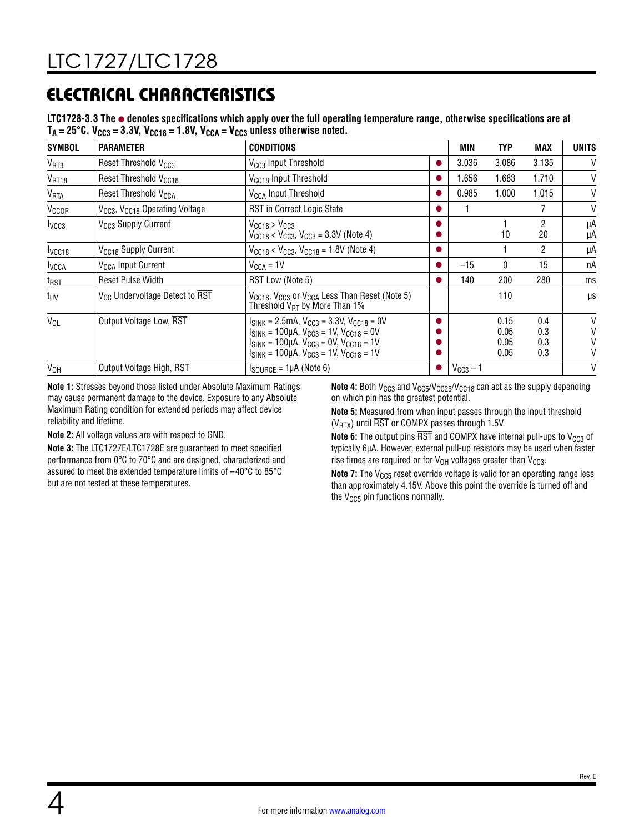# ELECTRICAL CHARACTERISTICS

**LTC1728-3.3 The** l **denotes specifications which apply over the full operating temperature range, otherwise specifications are at**   $T_A = 25^{\circ}$ C. V<sub>CC3</sub> = 3.3V, V<sub>CC18</sub> = 1.8V, V<sub>CCA</sub> = V<sub>CC3</sub> unless otherwise noted.

| <b>SYMBOL</b>          | <b>PARAMETER</b>                                       | <b>CONDITIONS</b>                                                                                                                                                                                                          |           | MIN           | TYP                          | MAX                      | UNITS       |
|------------------------|--------------------------------------------------------|----------------------------------------------------------------------------------------------------------------------------------------------------------------------------------------------------------------------------|-----------|---------------|------------------------------|--------------------------|-------------|
| V <sub>RT3</sub>       | Reset Threshold V <sub>CC3</sub>                       | V <sub>CC3</sub> Input Threshold                                                                                                                                                                                           | o         | 3.036         | 3.086                        | 3.135                    | V           |
| V <sub>RT18</sub>      | Reset Threshold V <sub>CC18</sub>                      | V <sub>CC18</sub> Input Threshold                                                                                                                                                                                          |           | 1.656         | 1.683                        | 1.710                    | V           |
| <b>V<sub>RTA</sub></b> | Reset Threshold V <sub>CCA</sub>                       | V <sub>CCA</sub> Input Threshold                                                                                                                                                                                           |           | 0.985         | 1.000                        | 1.015                    | V           |
| V <sub>CCOP</sub>      | V <sub>CC3</sub> , V <sub>CC18</sub> Operating Voltage | RST in Correct Logic State                                                                                                                                                                                                 | o         |               |                              | 7                        | V           |
| I <sub>VCC3</sub>      | V <sub>CC3</sub> Supply Current                        | $V_{CC18}$ > $V_{CC3}$<br>$V_{CC18}$ < $V_{CC3}$ , $V_{CC3}$ = 3.3V (Note 4)                                                                                                                                               |           |               | 10                           | 2<br>20                  | μA<br>μA    |
| I <sub>VCC18</sub>     | V <sub>CC18</sub> Supply Current                       | $V_{CC18}$ < $V_{CC3}$ , $V_{CC18}$ = 1.8V (Note 4)                                                                                                                                                                        | o         |               |                              | 2                        | μA          |
| <b>IVCCA</b>           | V <sub>CCA</sub> Input Current                         | $V_{CCA} = 1V$                                                                                                                                                                                                             | o         | $-15$         | $\mathbf{0}$                 | 15                       | nA          |
| $t_{RST}$              | <b>Reset Pulse Width</b>                               | RST Low (Note 5)                                                                                                                                                                                                           |           | 140           | 200                          | 280                      | ms          |
| tuv                    | V <sub>CC</sub> Undervoltage Detect to RST             | V <sub>CC18</sub> , V <sub>CC3</sub> or V <sub>CCA</sub> Less Than Reset (Note 5)<br>Threshold $V_{RT}$ by More Than 1%                                                                                                    |           |               | 110                          |                          | μs          |
| $V_{OL}$               | Output Voltage Low, RST                                | $I_{SINK}$ = 2.5mA, $V_{CC3}$ = 3.3V, $V_{CC18}$ = 0V<br>$I_{SINK}$ = 100µA, $V_{CC3}$ = 1V, $V_{CC18}$ = 0V<br>$I_{SINK}$ = 100µA, $V_{CC3}$ = 0V, $V_{CC18}$ = 1V<br>$I_{SINK}$ = 100µA, $V_{CC3}$ = 1V, $V_{CC18}$ = 1V |           |               | 0.15<br>0.05<br>0.05<br>0.05 | 0.4<br>0.3<br>0.3<br>0.3 | V<br>V<br>V |
| V <sub>OH</sub>        | Output Voltage High, RST                               | $I_{\text{SOURCE}} = 1\mu\text{A}$ (Note 6)                                                                                                                                                                                | $\bullet$ | $V_{CC3}$ – 1 |                              |                          | V           |

**Note 1:** Stresses beyond those listed under Absolute Maximum Ratings may cause permanent damage to the device. Exposure to any Absolute Maximum Rating condition for extended periods may affect device reliability and lifetime.

**Note 2:** All voltage values are with respect to GND.

**Note 3:** The LTC1727E/LTC1728E are guaranteed to meet specified performance from 0°C to 70°C and are designed, characterized and assured to meet the extended temperature limits of –40°C to 85°C but are not tested at these temperatures.

**Note 4:** Both V<sub>CC3</sub> and V<sub>CC5</sub>/V<sub>CC25</sub>/V<sub>CC18</sub> can act as the supply depending on which pin has the greatest potential.

**Note 5:** Measured from when input passes through the input threshold ( $V_{\text{RTX}}$ ) until  $\overline{\text{RST}}$  or COMPX passes through 1.5V.

**Note 6:** The output pins  $\overline{RST}$  and COMPX have internal pull-ups to  $V_{CC3}$  of typically 6µA. However, external pull-up resistors may be used when faster rise times are required or for  $V_{OH}$  voltages greater than  $V_{CC3}$ .

**Note 7:** The V<sub>CC5</sub> reset override voltage is valid for an operating range less than approximately 4.15V. Above this point the override is turned off and the  $V_{CC5}$  pin functions normally.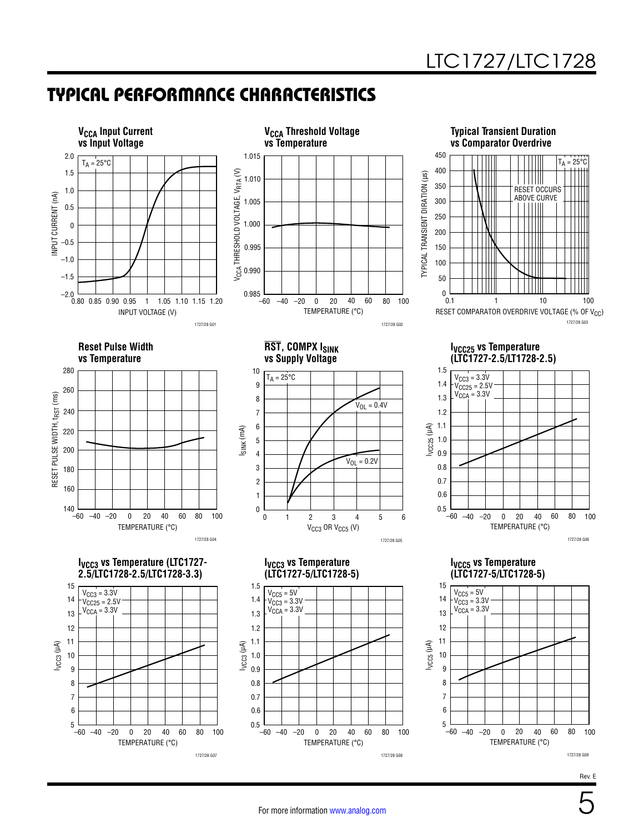## TYPICAL PERFORMANCE CHARACTERISTICS

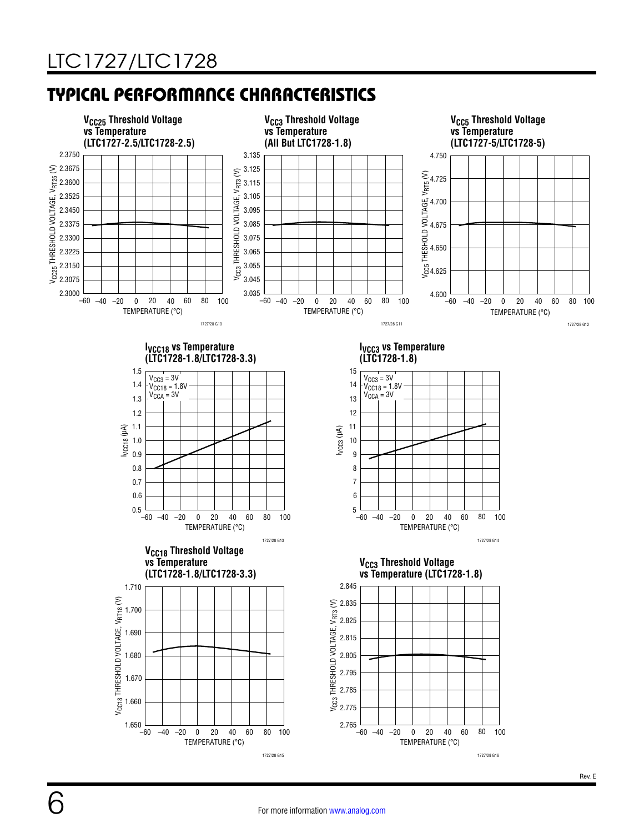6

## TYPICAL PERFORMANCE CHARACTERISTICS

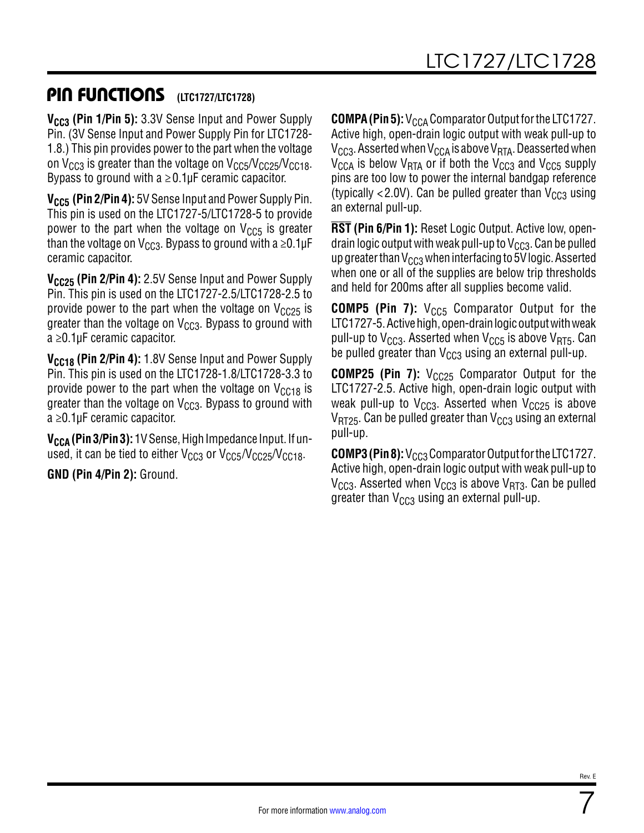## PIN FUNCTIONS (LTC1727/LTC1728)

V<sub>CC3</sub> (Pin 1/Pin 5): 3.3V Sense Input and Power Supply Pin. (3V Sense Input and Power Supply Pin for LTC1728- 1.8.) This pin provides power to the part when the voltage on  $V_{CC3}$  is greater than the voltage on  $V_{CC5}/V_{CC25}/V_{CC18}$ . Bypass to ground with  $a \ge 0.1 \mu F$  ceramic capacitor.

**V<sub>CC5</sub> (Pin 2/Pin 4):** 5V Sense Input and Power Supply Pin. This pin is used on the LTC1727-5/LTC1728-5 to provide power to the part when the voltage on  $V_{CC5}$  is greater than the voltage on V<sub>CC3</sub>. Bypass to ground with a  $\geq$ 0.1µF ceramic capacitor.

**V<sub>CC25</sub> (Pin 2/Pin 4):** 2.5V Sense Input and Power Supply Pin. This pin is used on the LTC1727-2.5/LTC1728-2.5 to provide power to the part when the voltage on  $V_{CC25}$  is greater than the voltage on  $V_{CC3}$ . Bypass to ground with a ≥0.1µF ceramic capacitor.

**V<sub>CC18</sub> (Pin 2/Pin 4):** 1.8V Sense Input and Power Supply Pin. This pin is used on the LTC1728-1.8/LTC1728-3.3 to provide power to the part when the voltage on  $V_{C C18}$  is greater than the voltage on  $V_{CG3}$ . Bypass to ground with a ≥0.1µF ceramic capacitor.

**V<sub>CCA</sub> (Pin 3/Pin 3):** 1V Sense, High Impedance Input. If unused, it can be tied to either  $V_{CC3}$  or  $V_{CC5}/V_{CC25}/V_{CC18}$ .

**GND (Pin 4/Pin 2):** Ground.

**COMPA (Pin 5):** V<sub>CCA</sub> Comparator Output for the LTC1727. Active high, open-drain logic output with weak pull-up to  $V_{\text{CC}3}$ . Asserted when  $V_{\text{CC}A}$  is above  $V_{\text{RT}A}$ . Deasserted when  $V_{\text{CCA}}$  is below  $V_{\text{RTA}}$  or if both the  $V_{\text{CCA}}$  and  $V_{\text{CCS}}$  supply pins are too low to power the internal bandgap reference (typically  $\langle 2.0V \rangle$ . Can be pulled greater than  $V_{CC3}$  using an external pull-up.

**RST (Pin 6/Pin 1):** Reset Logic Output. Active low, opendrain logic output with weak pull-up to  $V_{CCS}$ . Can be pulled up greater than  $V_{CG3}$  when interfacing to 5V logic. Asserted when one or all of the supplies are below trip thresholds and held for 200ms after all supplies become valid.

**COMP5 (Pin 7):** V<sub>CC5</sub> Comparator Output for the LTC1727-5. Active high, open-drain logic output with weak pull-up to  $V_{CC3}$ . Asserted when  $V_{CC5}$  is above  $V_{RT5}$ . Can be pulled greater than  $V_{CG3}$  using an external pull-up.

**COMP25 (Pin 7):** V<sub>CC25</sub> Comparator Output for the LTC1727-2.5. Active high, open-drain logic output with weak pull-up to  $V_{CC3}$ . Asserted when  $V_{CC25}$  is above  $V_{RT25}$ . Can be pulled greater than  $V_{CC3}$  using an external pull-up.

**COMP3 (Pin 8):** V<sub>CC3</sub> Comparator Output for the LTC1727. Active high, open-drain logic output with weak pull-up to  $V_{CC3}$ . Asserted when  $V_{CC3}$  is above  $V_{RT3}$ . Can be pulled greater than  $V_{CG3}$  using an external pull-up.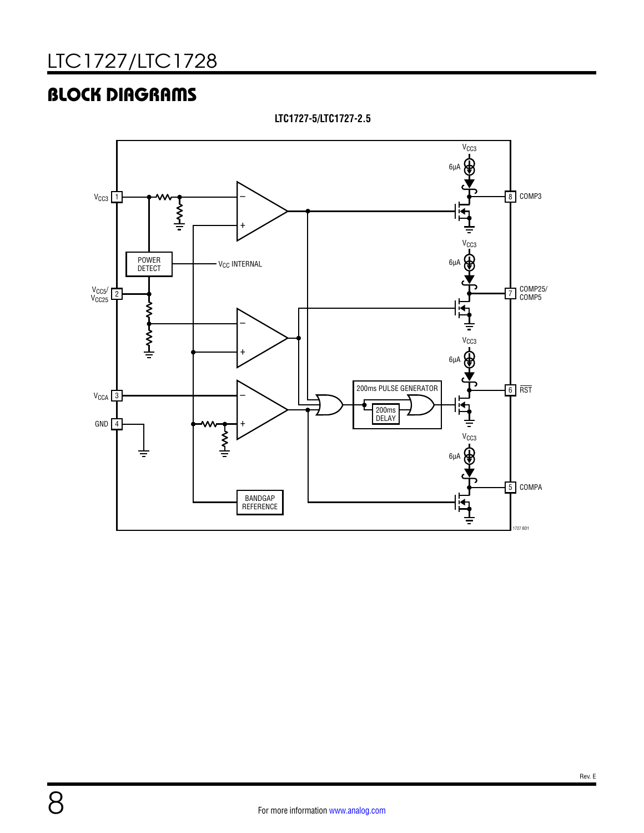## BLOCK DIAGRAMS

V<sub>CC3</sub>  $6\mu$ A 9 –  $V<sub>CC3</sub>$  1 8 COMP3 ₹  $\overline{1}$  $V<sub>CC3</sub>$ POWER V<sub>CC</sub> INTERNAL  $6\mu$ DETECT  $V<sub>CC25</sub>$  2 <sup>7</sup> COMP25/ COMP5 WWWW.NAT –  $\oplus$   $\oplus$  $\overline{1}$  $6\mu$ A っ – 200ms PULSE GENERATOR  $6$  RST  $V_{CCA}$  3 ׀<del>׆</del><br>יי 200ms  $\overline{1}$ DELAY  $GND$ <sup>4</sup>  $\sum_{i=1}^{n}$ V<sub>CC3</sub>  $6µ$ 5 COMPA BANDGAP REFERENCE 1727 BD1

**LTC1727-5/LTC1727-2.5**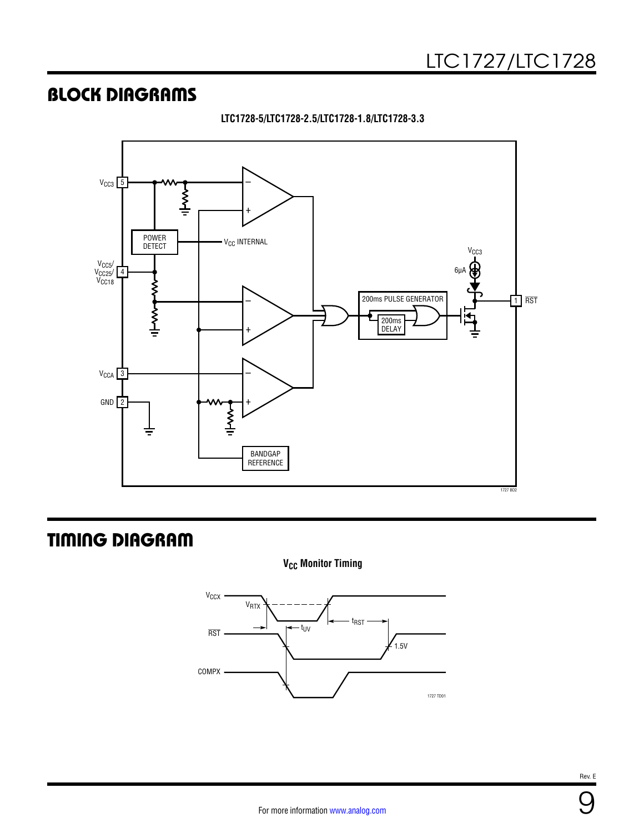## BLOCK DIAGRAMS





## TIMING DIAGRAM

**V<sub>CC</sub>** Monitor Timing

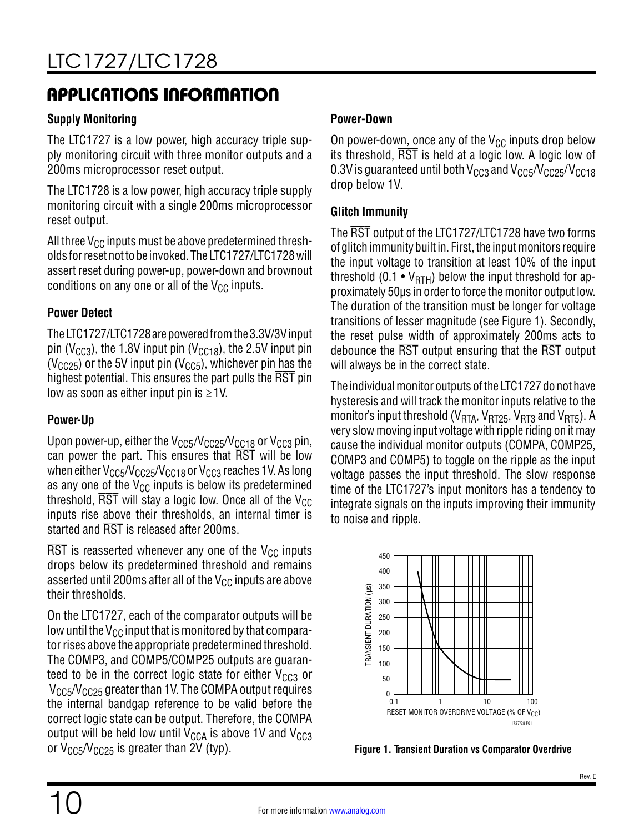## APPLICATIONS INFORMATION

### **Supply Monitoring**

The LTC1727 is a low power, high accuracy triple supply monitoring circuit with three monitor outputs and a 200ms microprocessor reset output.

The LTC1728 is a low power, high accuracy triple supply monitoring circuit with a single 200ms microprocessor reset output.

All three  $V_{CC}$  inputs must be above predetermined thresholds for reset not to be invoked. The LTC1727/LTC1728 will assert reset during power-up, power-down and brownout conditions on any one or all of the  $V_{CC}$  inputs.

### **Power Detect**

The LTC1727/LTC1728 are powered from the 3.3V/3V input pin ( $V_{CC3}$ ), the 1.8V input pin ( $V_{CC18}$ ), the 2.5V input pin ( $V<sub>CC25</sub>$ ) or the 5V input pin ( $V<sub>CC5</sub>$ ), whichever pin has the highest potential. This ensures the part pulls the RST pin low as soon as either input pin is  $\geq 1$ V.

### **Power-Up**

Upon power-up, either the  $V_{CC5}/V_{CC25}/V_{CC18}$  or  $V_{CC3}$  pin, can power the part. This ensures that RST will be low when either  $V_{CC5}/V_{CC25}/V_{CC18}$  or  $V_{CC3}$  reaches 1V. As long as any one of the  $V_{CC}$  inputs is below its predetermined threshold,  $\overline{\text{RST}}$  will stay a logic low. Once all of the V<sub>CC</sub> inputs rise above their thresholds, an internal timer is started and RST is released after 200ms.

 $\overline{\text{RST}}$  is reasserted whenever any one of the V<sub>CC</sub> inputs drops below its predetermined threshold and remains asserted until 200ms after all of the  $V_{CC}$  inputs are above their thresholds.

On the LTC1727, each of the comparator outputs will be low until the  $V_{CC}$  input that is monitored by that comparator rises above the appropriate predetermined threshold. The COMP3, and COMP5/COMP25 outputs are guaranteed to be in the correct logic state for either  $V_{CC3}$  or  $V_{CC5}/V_{CC25}$  greater than 1V. The COMPA output requires the internal bandgap reference to be valid before the correct logic state can be output. Therefore, the COMPA output will be held low until  $V_{CCA}$  is above 1V and  $V_{CC3}$ or V<sub>CC5</sub>/V<sub>CC25</sub> is greater than 2V (typ). **Figure 1. Transient Duration vs Comparator Overdrive** 

### **Power-Down**

On power-down, once any of the  $V_{CC}$  inputs drop below its threshold,  $\overline{\text{RST}}$  is held at a logic low. A logic low of 0.3V is guaranteed until both  $V_{CC3}$  and  $V_{CC5}/V_{CC25}/V_{CC18}$ drop below 1V.

### **Glitch Immunity**

The RST output of the LTC1727/LTC1728 have two forms of glitch immunity built in. First, the input monitors require the input voltage to transition at least 10% of the input threshold (0.1 •  $V_{\text{RTH}}$ ) below the input threshold for approximately 50µs in order to force the monitor output low. The duration of the transition must be longer for voltage transitions of lesser magnitude (see [Figure 1\)](#page-9-0). Secondly, the reset pulse width of approximately 200ms acts to debounce the RST output ensuring that the RST output will always be in the correct state.

The individual monitor outputs of the LTC1727 do not have hysteresis and will track the monitor inputs relative to the monitor's input threshold ( $V<sub>RTA</sub>$ ,  $V<sub>RT25</sub>$ ,  $V<sub>RT3</sub>$  and  $V<sub>RT5</sub>$ ). A very slow moving input voltage with ripple riding on it may cause the individual monitor outputs (COMPA, COMP25, COMP3 and COMP5) to toggle on the ripple as the input voltage passes the input threshold. The slow response time of the LTC1727's input monitors has a tendency to integrate signals on the inputs improving their immunity to noise and ripple.



<span id="page-9-0"></span>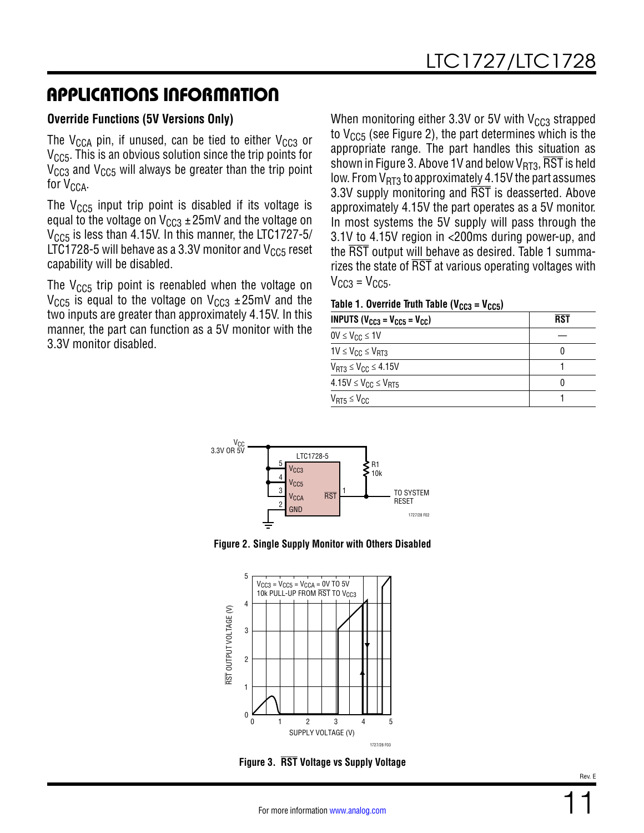## APPLICATIONS INFORMATION

### **Override Functions (5V Versions Only)**

The V<sub>CCA</sub> pin, if unused, can be tied to either V<sub>CC3</sub> or  $V<sub>CC5</sub>$ . This is an obvious solution since the trip points for  $V_{CC3}$  and  $V_{CC5}$  will always be greater than the trip point for  $V_{CCA}$ .

The  $V_{CC5}$  input trip point is disabled if its voltage is equal to the voltage on  $V_{CG3} \pm 25$ mV and the voltage on  $V<sub>CCS</sub>$  is less than 4.15V. In this manner, the LTC1727-5/ LTC1728-5 will behave as a 3.3V monitor and  $V_{CC5}$  reset capability will be disabled.

The  $V_{CC5}$  trip point is reenabled when the voltage on  $V_{CC5}$  is equal to the voltage on  $V_{CC3} \pm 25$  mV and the two inputs are greater than approximately 4.15V. In this manner, the part can function as a 5V monitor with the 3.3V monitor disabled.

When monitoring either 3.3V or 5V with  $V_{CC3}$  strapped to  $V_{CC5}$  (see [Figure 2](#page-10-0)), the part determines which is the appropriate range. The part handles this situation as shown in [Figure 3](#page-10-1). Above 1V and below  $V_{RT3}$ ,  $\overline{\text{RST}}$  is held low. From  $V_{RT3}$  to approximately 4.15V the part assumes 3.3V supply monitoring and RST is deasserted. Above approximately 4.15V the part operates as a 5V monitor. In most systems the 5V supply will pass through the 3.1V to 4.15V region in <200ms during power-up, and the RST output will behave as desired. Table 1 summarizes the state of RST at various operating voltages with  $V<sub>CC3</sub> = V<sub>CC5</sub>$ .

#### Table 1. Override Truth Table ( $V_{CC3} = V_{CC5}$ )

| <b>INPUTS</b> ( $V_{CC3} = V_{CC5} = V_{CC}$ ) | RST |
|------------------------------------------------|-----|
| $0V \leq V_{CC} \leq 1V$                       |     |
| $1V \leq V_{CC} \leq V_{RT3}$                  |     |
| $V_{RT3} \leq V_{CC} \leq 4.15V$               |     |
| $4.15V \leq V_{CC} \leq V_{RT5}$               |     |
| $V_{RT5} \leq V_{CC}$                          |     |





<span id="page-10-0"></span>

<span id="page-10-1"></span>**Figure 3. RST Voltage vs Supply Voltage**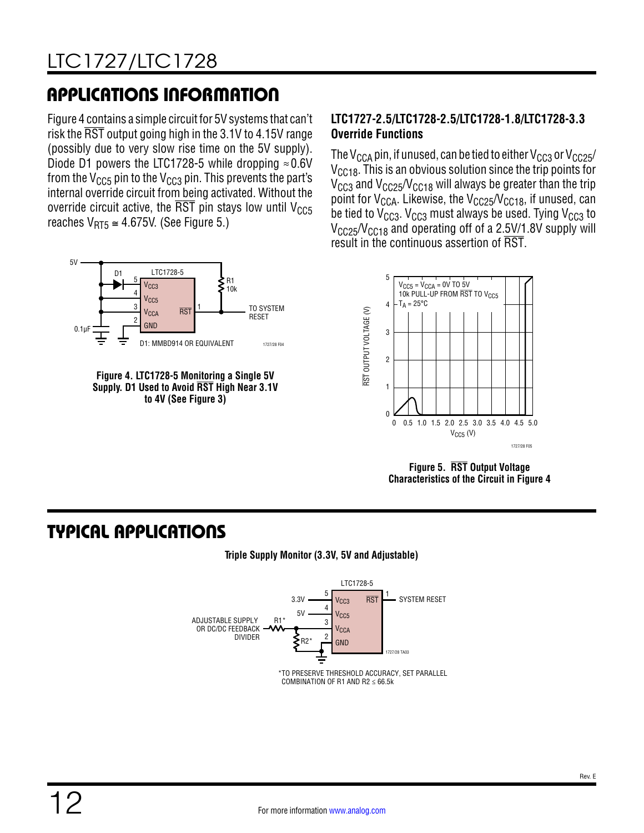# APPLICATIONS INFORMATION

[Figure 4](#page-11-0) contains a simple circuit for 5V systems that can't risk the RST output going high in the 3.1V to 4.15V range (possibly due to very slow rise time on the 5V supply). Diode D1 powers the LTC1728-5 while dropping  $\approx 0.6$ V from the  $V_{CC5}$  pin to the  $V_{CC3}$  pin. This prevents the part's internal override circuit from being activated. Without the override circuit active, the  $\overline{\text{RST}}$  pin stays low until V<sub>CC5</sub> reaches  $V_{RT5} \cong 4.675V$ . (See [Figure 5.](#page-11-1))



<span id="page-11-0"></span>

### **LTC1727-2.5/LTC1728-2.5/LTC1728-1.8/LTC1728-3.3 Override Functions**

The V<sub>CCA</sub> pin, if unused, can be tied to either V<sub>CC3</sub> or V<sub>CC25</sub>/  $V_{CC18}$ . This is an obvious solution since the trip points for  $V_{CC3}$  and  $V_{CC25}/V_{CC18}$  will always be greater than the trip point for  $V_{\text{CCA}}$ . Likewise, the  $V_{\text{CCA}}$ ,  $V_{\text{CCA}}$ , if unused, can be tied to  $V_{CC3}$ .  $V_{CC3}$  must always be used. Tying  $V_{CC3}$  to  $V_{CC25}/V_{CC18}$  and operating off of a 2.5V/1.8V supply will result in the continuous assertion of RST.



<span id="page-11-1"></span>**Figure 5. RST Output Voltage Characteristics of the Circuit in [Figure 4](#page-11-0)**

## TYPICAL APPLICATIONS



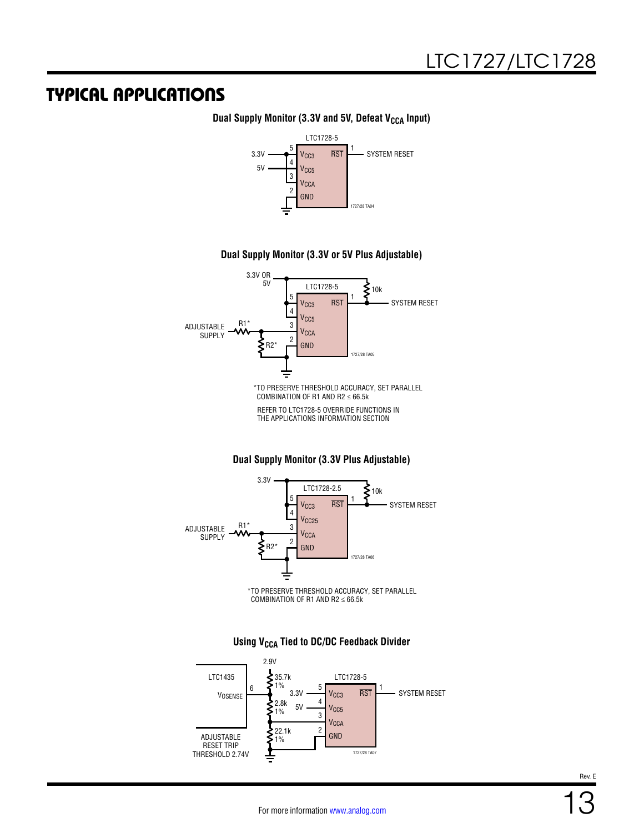### TYPICAL APPLICATIONS

#### 5 4 3 2 1 V<sub>CC3</sub> V<sub>CC5</sub> V<sub>CCA</sub> GND RST LTC1728-5  $3.3V$   $\longrightarrow$   $V_{CCS}$  RST  $\longrightarrow$  SYSTEM RESET 5V 1727/28 TA04

#### **Dual Supply Monitor (3.3V and 5V, Defeat V<sub>CCA</sub> Input)**

#### **Dual Supply Monitor (3.3V or 5V Plus Adjustable)**



**Dual Supply Monitor (3.3V Plus Adjustable)**



5 4 3 2 1 V<sub>CC3</sub> V<sub>CC5</sub> V<sub>CCA</sub> GND RST LTC1728-5  $3.3V$   $\longrightarrow$   $V_{CG3}$  RST  $\longrightarrow$  SYSTEM RESET 5V 22.1k  $\sum_{1\%}^{135.7k}$ 1% LTC1435 ADJUSTABLE 2.9V 2.8k 1% 6 VOSENSE

1%

RESET TRIP THRESHOLD 2.74V

#### **Using V<sub>CCA</sub> Tied to DC/DC Feedback Divider**

Rev. E

1727/28 TA07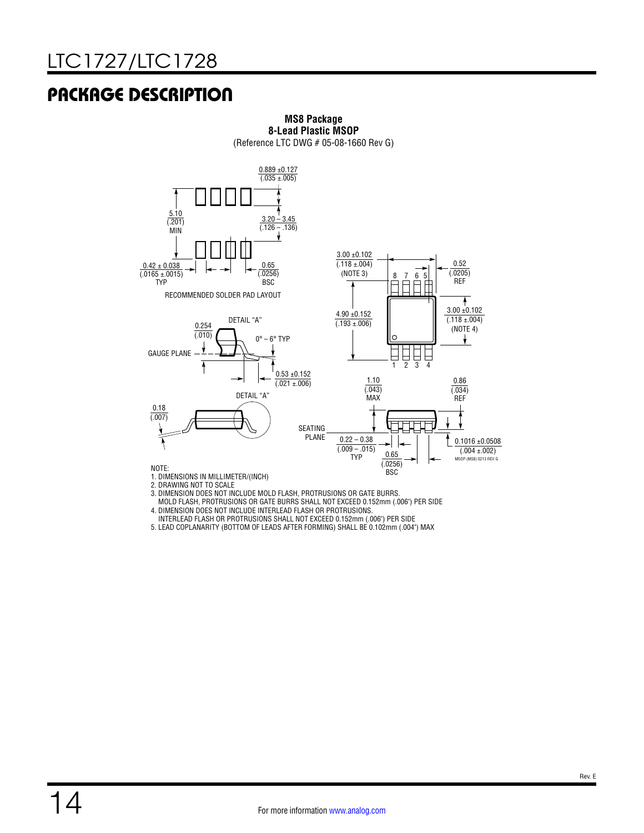## PACKAGE DESCRIPTION



#### **MS8 Package 8-Lead Plastic MSOP** (Reference LTC DWG # 05-08-1660 Rev G)

1. DIMENSIONS IN MILLIMETER/(INCH)

2. DRAWING NOT TO SCALE

3. DIMENSION DOES NOT INCLUDE MOLD FLASH, PROTRUSIONS OR GATE BURRS.

MOLD FLASH, PROTRUSIONS OR GATE BURRS SHALL NOT EXCEED 0.152mm (.006") PER SIDE

4. DIMENSION DOES NOT INCLUDE INTERLEAD FLASH OR PROTRUSIONS.

INTERLEAD FLASH OR PROTRUSIONS SHALL NOT EXCEED 0.152mm (.006") PER SIDE

5. LEAD COPLANARITY (BOTTOM OF LEADS AFTER FORMING) SHALL BE 0.102mm (.004") MAX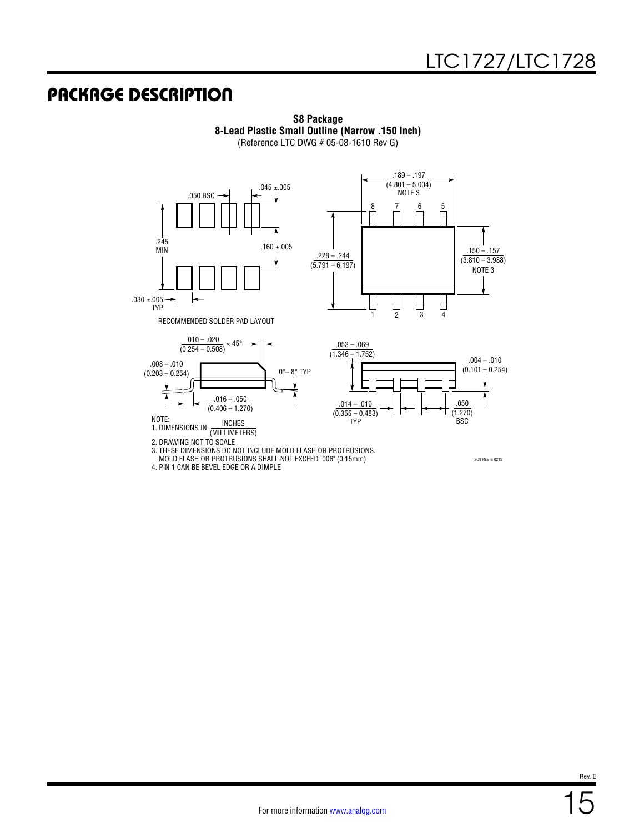## PACKAGE DESCRIPTION



**S8 Package 8-Lead Plastic Small Outline (Narrow .150 Inch)** (Reference LTC DWG # 05-08-1610 Rev G)



3. THESE DIMENSIONS DO NOT INCLUDE MOLD FLASH OR PROTRUSIONS.

MOLD FLASH OR PROTRUSIONS SHALL NOT EXCEED .006" (0.15mm)

4. PIN 1 CAN BE BEVEL EDGE OR A DIMPLE

SO8 REV G 0212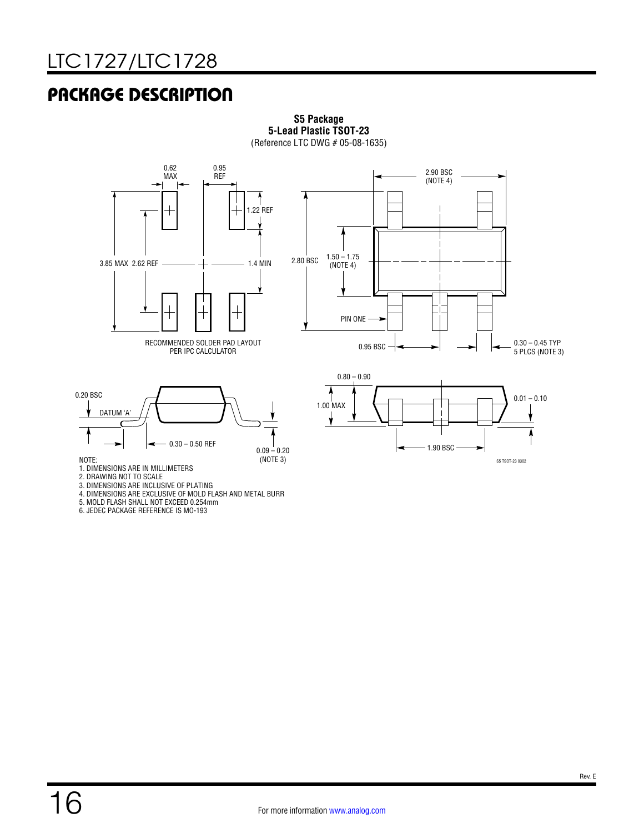## PACKAGE DESCRIPTION



**S5 Package 5-Lead Plastic TSOT-23** (Reference LTC DWG # 05-08-1635)





NOTE:

1. DIMENSIONS ARE IN MILLIMETERS

2. DRAWING NOT TO SCALE

3. DIMENSIONS ARE INCLUSIVE OF PLATING

4. DIMENSIONS ARE EXCLUSIVE OF MOLD FLASH AND METAL BURR

5. MOLD FLASH SHALL NOT EXCEED 0.254mm

6. JEDEC PACKAGE REFERENCE IS MO-193

S5 TSOT-23 0302

1.90 BSC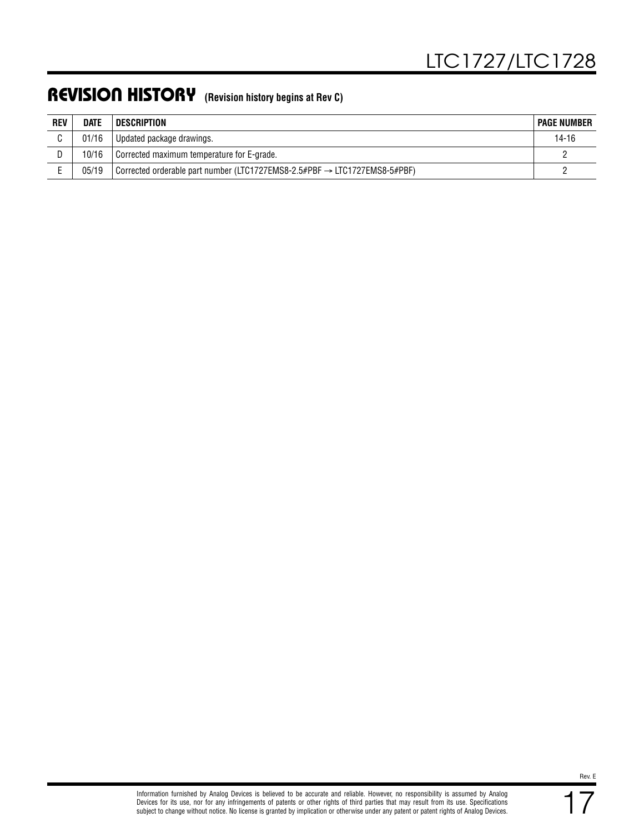## REVISION HISTORY **(Revision history begins at Rev C)**

| <b>REV</b> | <b>DATE</b> | <b>DESCRIPTION</b>                                                                    | <b>PAGE NUMBER</b> |
|------------|-------------|---------------------------------------------------------------------------------------|--------------------|
|            | 01/16       | Updated package drawings.                                                             | 14-16              |
|            | 10/16       | Corrected maximum temperature for E-grade.                                            |                    |
|            | 05/19       | Corrected orderable part number (LTC1727EMS8-2.5#PBF $\rightarrow$ LTC1727EMS8-5#PBF) |                    |